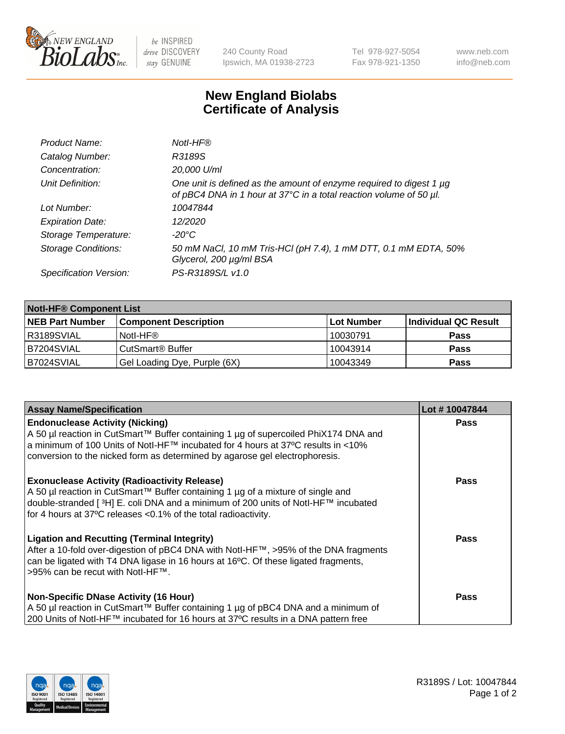

be INSPIRED drive DISCOVERY stay GENUINE

240 County Road Ipswich, MA 01938-2723 Tel 978-927-5054 Fax 978-921-1350 www.neb.com info@neb.com

## **New England Biolabs Certificate of Analysis**

| Product Name:              | Notl-HF®                                                                                                                                  |
|----------------------------|-------------------------------------------------------------------------------------------------------------------------------------------|
| Catalog Number:            | R3189S                                                                                                                                    |
| Concentration:             | 20,000 U/ml                                                                                                                               |
| Unit Definition:           | One unit is defined as the amount of enzyme required to digest 1 µg<br>of pBC4 DNA in 1 hour at 37°C in a total reaction volume of 50 µl. |
| Lot Number:                | 10047844                                                                                                                                  |
| <b>Expiration Date:</b>    | 12/2020                                                                                                                                   |
| Storage Temperature:       | $-20^{\circ}$ C                                                                                                                           |
| <b>Storage Conditions:</b> | 50 mM NaCl, 10 mM Tris-HCl (pH 7.4), 1 mM DTT, 0.1 mM EDTA, 50%<br>Glycerol, 200 µg/ml BSA                                                |
| Specification Version:     | PS-R3189S/L v1.0                                                                                                                          |

| <b>Notl-HF® Component List</b> |                              |            |                      |  |  |
|--------------------------------|------------------------------|------------|----------------------|--|--|
| <b>NEB Part Number</b>         | <b>Component Description</b> | Lot Number | Individual QC Result |  |  |
| I R3189SVIAL                   | Notl-HF®                     | 10030791   | <b>Pass</b>          |  |  |
| B7204SVIAL                     | CutSmart <sup>®</sup> Buffer | 10043914   | <b>Pass</b>          |  |  |
| B7024SVIAL                     | Gel Loading Dye, Purple (6X) | 10043349   | <b>Pass</b>          |  |  |

| <b>Assay Name/Specification</b>                                                                                                                                                        | Lot #10047844 |
|----------------------------------------------------------------------------------------------------------------------------------------------------------------------------------------|---------------|
| <b>Endonuclease Activity (Nicking)</b>                                                                                                                                                 | <b>Pass</b>   |
| A 50 µl reaction in CutSmart™ Buffer containing 1 µg of supercoiled PhiX174 DNA and<br> a minimum of 100 Units of Notl-HF™ incubated for 4 hours at 37°C results in <10%               |               |
| conversion to the nicked form as determined by agarose gel electrophoresis.                                                                                                            |               |
| <b>Exonuclease Activity (Radioactivity Release)</b>                                                                                                                                    | <b>Pass</b>   |
| A 50 µl reaction in CutSmart™ Buffer containing 1 µg of a mixture of single and<br>double-stranded [ <sup>3</sup> H] E. coli DNA and a minimum of 200 units of Notl-HF™ incubated      |               |
| for 4 hours at 37°C releases <0.1% of the total radioactivity.                                                                                                                         |               |
| <b>Ligation and Recutting (Terminal Integrity)</b>                                                                                                                                     | Pass          |
| After a 10-fold over-digestion of pBC4 DNA with Notl-HF™, >95% of the DNA fragments<br>can be ligated with T4 DNA ligase in 16 hours at 16 <sup>o</sup> C. Of these ligated fragments, |               |
| >95% can be recut with NotI-HF™.                                                                                                                                                       |               |
| <b>Non-Specific DNase Activity (16 Hour)</b>                                                                                                                                           | <b>Pass</b>   |
| A 50 µl reaction in CutSmart™ Buffer containing 1 µg of pBC4 DNA and a minimum of                                                                                                      |               |
| 200 Units of Notl-HF™ incubated for 16 hours at 37°C results in a DNA pattern free                                                                                                     |               |